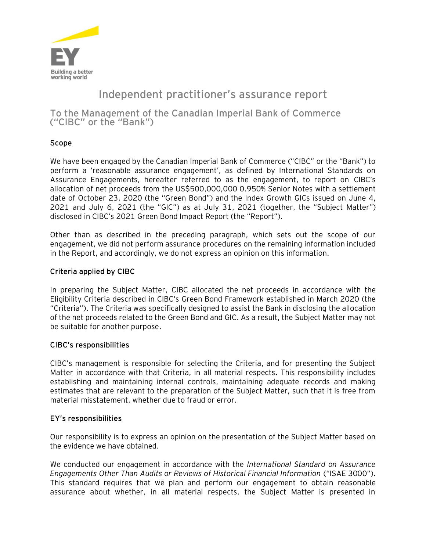

# **Independent practitioner's assurance report**

**To the Management of the Canadian Imperial Bank of Commerce ("CIBC" or the "Bank")**

## **Scope**

We have been engaged by the Canadian Imperial Bank of Commerce ("CIBC" or the "Bank") to perform a 'reasonable assurance engagement', as defined by International Standards on Assurance Engagements, hereafter referred to as the engagement, to report on CIBC's allocation of net proceeds from the US\$500,000,000 0.950% Senior Notes with a settlement date of October 23, 2020 (the "Green Bond") and the Index Growth GICs issued on June 4, 2021 and July 6, 2021 (the "GIC") as at July 31, 2021 (together, the "Subject Matter") disclosed in CIBC's 2021 Green Bond Impact Report (the "Report").

Other than as described in the preceding paragraph, which sets out the scope of our engagement, we did not perform assurance procedures on the remaining information included in the Report, and accordingly, we do not express an opinion on this information.

### **Criteria applied by CIBC**

In preparing the Subject Matter, CIBC allocated the net proceeds in accordance with the Eligibility Criteria described in CIBC's Green Bond Framework established in March 2020 (the "Criteria"). The Criteria was specifically designed to assist the Bank in disclosing the allocation of the net proceeds related to the Green Bond and GIC. As a result, the Subject Matter may not be suitable for another purpose.

#### **CIBC's responsibilities**

CIBC's management is responsible for selecting the Criteria, and for presenting the Subject Matter in accordance with that Criteria, in all material respects. This responsibility includes establishing and maintaining internal controls, maintaining adequate records and making estimates that are relevant to the preparation of the Subject Matter, such that it is free from material misstatement, whether due to fraud or error.

#### **EY's responsibilities**

Our responsibility is to express an opinion on the presentation of the Subject Matter based on the evidence we have obtained.

We conducted our engagement in accordance with the *International Standard on Assurance Engagements Other Than Audits or Reviews of Historical Financial Information* ("ISAE 3000"). This standard requires that we plan and perform our engagement to obtain reasonable assurance about whether, in all material respects, the Subject Matter is presented in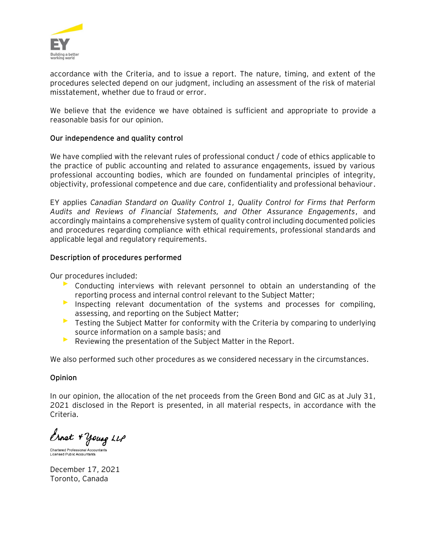

accordance with the Criteria, and to issue a report. The nature, timing, and extent of the procedures selected depend on our judgment, including an assessment of the risk of material misstatement, whether due to fraud or error.

We believe that the evidence we have obtained is sufficient and appropriate to provide a reasonable basis for our opinion.

#### **Our independence and quality control**

We have complied with the relevant rules of professional conduct / code of ethics applicable to the practice of public accounting and related to assurance engagements, issued by various professional accounting bodies, which are founded on fundamental principles of integrity, objectivity, professional competence and due care, confidentiality and professional behaviour.

EY applies *Canadian Standard on Quality Control 1, Quality Control for Firms that Perform Audits and Reviews of Financial Statements, and Other Assurance Engagements*, and accordingly maintains a comprehensive system of quality control including documented policies and procedures regarding compliance with ethical requirements, professional standards and applicable legal and regulatory requirements.

#### **Description of procedures performed**

Our procedures included:

- Conducting interviews with relevant personnel to obtain an understanding of the reporting process and internal control relevant to the Subject Matter;
- ► Inspecting relevant documentation of the systems and processes for compiling, assessing, and reporting on the Subject Matter;
- ► Testing the Subject Matter for conformity with the Criteria by comparing to underlying source information on a sample basis; and
- ► Reviewing the presentation of the Subject Matter in the Report.

We also performed such other procedures as we considered necessary in the circumstances.

#### **Opinion**

In our opinion, the allocation of the net proceeds from the Green Bond and GIC as at July 31, 2021 disclosed in the Report is presented, in all material respects, in accordance with the Criteria.

Ernst + Young LLP

Chartered Professional Accountants **Licensed Public Accountants** 

December 17, 2021 Toronto, Canada